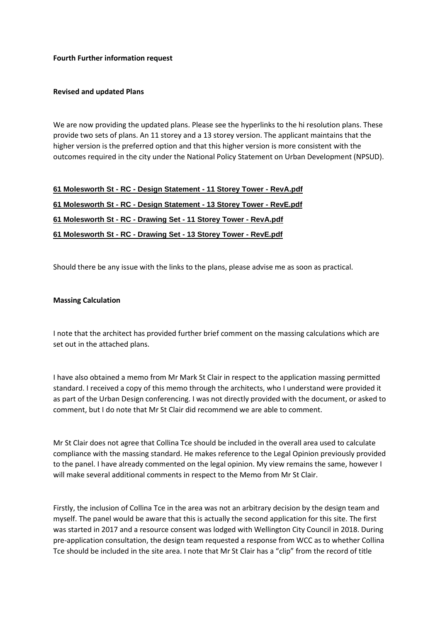## **Fourth Further information request**

## **Revised and updated Plans**

We are now providing the updated plans. Please see the hyperlinks to the hi resolution plans. These provide two sets of plans. An 11 storey and a 13 storey version. The applicant maintains that the higher version is the preferred option and that this higher version is more consistent with the outcomes required in the city under the National Policy Statement on Urban Development (NPSUD).

**61 Molesworth St - RC - [Design Statement -](https://aus01.safelinks.protection.outlook.com/?url=https%3A%2F%2Finfoexchange.jasmax.com%2FDownloadWeb%2Fpredownload.aspx%3Fqs%3DLR82FPL2GKZR2UB5FMHG47QGC6DFX846RW9FSDJJKZKZRWP8MY225CGFPTQK39UAKD4CBY6HM4TKXMALHT6AK3ZMJAHH6DLGWCN33HDHKXAAL5UM6YQF9LCS75Q79RGCSYWLPHV9NTQ9CKTLR9CZ6X8TZ97C3D3HCNS25ND3G79SAL5MQYX45YS7GXHNUPZ8Y3YUFTSNDGDATCDRASRXB3E2QT7J4BDGEQUS5BNVXZPVDLKX3759C5DM6T6FS3ZQAMY2PKMMBU3HDAKQ7BQ5TCX2499QAUXM479YPBVVVB8JPJ7WSF9728WJEVGP9CMPKLJN8NKKVJ6WA&data=04%7C01%7Citl%40spencerholmes.co.nz%7C307e87c82e6a4d3e503b08d99ff80b06%7Cd9fe2869bb404874b7b1587886bbe867%7C0%7C0%7C637716709961686687%7CUnknown%7CTWFpbGZsb3d8eyJWIjoiMC4wLjAwMDAiLCJQIjoiV2luMzIiLCJBTiI6Ik1haWwiLCJXVCI6Mn0%3D%7C1000&sdata=5vXtU3QPIPzBhzSBXRHMmnrQ6srpEjk5DA3MuH2LidI%3D&reserved=0) 11 Storey Tower - RevA.pdf 61 Molesworth St - RC - [Design Statement -](https://aus01.safelinks.protection.outlook.com/?url=https%3A%2F%2Finfoexchange.jasmax.com%2FDownloadWeb%2Fpredownload.aspx%3Fqs%3DLR82FPL2GKZR2UB5FMHG47QGC6DFX846RW9FSDJJKZKZRWP8MY225CGFPTQK39UAKD4CBY6HM4TKXMALHT6AK3ZMJAHH6DLGWCN33HDHKXAAL5UM6YQF9LCS75Q79RGCSYWLPHV9NTQ9CKTLR9CZ6X8TZ97C3D3HCNS25ND3G79SAL5MQYX45YS7GXHNUPZ8Y3YUFTSNDGDATCDRASRXB3E2QT7J4BDGEQUS5BNVXZPVDLKX3759C5DM6T6FS3ZQAMY2PKMMBU3HDAKQ7BQ5TCX24FWEJC86MGXC9AH5Y4ZHN4CU9JFN8U9MB26AJMBMKGM77NZBQFN2S&data=04%7C01%7Citl%40spencerholmes.co.nz%7C307e87c82e6a4d3e503b08d99ff80b06%7Cd9fe2869bb404874b7b1587886bbe867%7C0%7C0%7C637716709961696649%7CUnknown%7CTWFpbGZsb3d8eyJWIjoiMC4wLjAwMDAiLCJQIjoiV2luMzIiLCJBTiI6Ik1haWwiLCJXVCI6Mn0%3D%7C1000&sdata=U%2FxJGP32Yi8T8ZN5MWLMDrThLEVVRxC71pNSSgo0%2Fbo%3D&reserved=0) 13 Storey Tower - RevE.pdf [61 Molesworth St -](https://aus01.safelinks.protection.outlook.com/?url=https%3A%2F%2Finfoexchange.jasmax.com%2FDownloadWeb%2Fpredownload.aspx%3Fqs%3DLR82FPL2GKZR2UB5FMHG47QGC6DFX846RW9FSDJJKZKZRWP8MY225CGFPTQK39UAKD4CBY6HM4TKXMALHT6AK3ZMJAHH6DLGWCN33HDHKXAAL5UM6YQF9LCS75Q79RGCSYWLPHV9NTQ9CKTLR9CZ6X8TZ97C3D3HCNS25ND3G79SAL5MQYX45YS7GXHNUPZ8Y3YUFTSNDGDATCDRASRXB3E2QT7J4BDGEQUS5BNVXZPVDLKX3758LY578HJCDT7HYLP9Z7G4XK5H8W74Q2DRUA8YA3R2UEJB888DJBSUS2J9F6SV3CYUBMHWYSHMCCKH&data=04%7C01%7Citl%40spencerholmes.co.nz%7C307e87c82e6a4d3e503b08d99ff80b06%7Cd9fe2869bb404874b7b1587886bbe867%7C0%7C0%7C637716709961706599%7CUnknown%7CTWFpbGZsb3d8eyJWIjoiMC4wLjAwMDAiLCJQIjoiV2luMzIiLCJBTiI6Ik1haWwiLCJXVCI6Mn0%3D%7C1000&sdata=9t2zamNUo%2FL7zp7rjFJnbGvW5I1AkE3wRS7uiWTdbwY%3D&reserved=0) RC - Drawing Set - 11 Storey Tower - RevA.pdf [61 Molesworth St -](https://aus01.safelinks.protection.outlook.com/?url=https%3A%2F%2Finfoexchange.jasmax.com%2FDownloadWeb%2Fpredownload.aspx%3Fqs%3DLR82FPL2GKZR2UB5FMHG47QGC6DFX846RW9FSDJJKZKZRWP8MY225CGFPTQK39UAKD4CBY6HM4TKXMALHT6AK3ZMJAHH6DLGWCN33HDHKXAAL5UM6YQF9LCS75Q79RGCSYWLPHV9NTQ9CKTLR9CZ6X8TZ97C3D3HCNS25ND3G79SAL5MQYX45YS7GXHNUPZ8Y3YUFTSNDGDATCDRASRXB3E2QT7J4BDGEQUS5BNVXZPVDLKX3758LY578HJCDT7HYLP9Z7G4XK5H4Q8TEBQXKJ5PHT95HQBAEJSUUZC38QGGS4FRTYZCYBGTTPE968MG&data=04%7C01%7Citl%40spencerholmes.co.nz%7C307e87c82e6a4d3e503b08d99ff80b06%7Cd9fe2869bb404874b7b1587886bbe867%7C0%7C0%7C637716709961706599%7CUnknown%7CTWFpbGZsb3d8eyJWIjoiMC4wLjAwMDAiLCJQIjoiV2luMzIiLCJBTiI6Ik1haWwiLCJXVCI6Mn0%3D%7C1000&sdata=p7BLrlIuLObK94NQITv%2F4LtjJwPJIyoL71EMrizH%2BDs%3D&reserved=0) RC - Drawing Set - 13 Storey Tower - RevE.pdf**

Should there be any issue with the links to the plans, please advise me as soon as practical.

## **Massing Calculation**

I note that the architect has provided further brief comment on the massing calculations which are set out in the attached plans.

I have also obtained a memo from Mr Mark St Clair in respect to the application massing permitted standard. I received a copy of this memo through the architects, who I understand were provided it as part of the Urban Design conferencing. I was not directly provided with the document, or asked to comment, but I do note that Mr St Clair did recommend we are able to comment.

Mr St Clair does not agree that Collina Tce should be included in the overall area used to calculate compliance with the massing standard. He makes reference to the Legal Opinion previously provided to the panel. I have already commented on the legal opinion. My view remains the same, however I will make several additional comments in respect to the Memo from Mr St Clair.

Firstly, the inclusion of Collina Tce in the area was not an arbitrary decision by the design team and myself. The panel would be aware that this is actually the second application for this site. The first was started in 2017 and a resource consent was lodged with Wellington City Council in 2018. During pre-application consultation, the design team requested a response from WCC as to whether Collina Tce should be included in the site area. I note that Mr St Clair has a "clip" from the record of title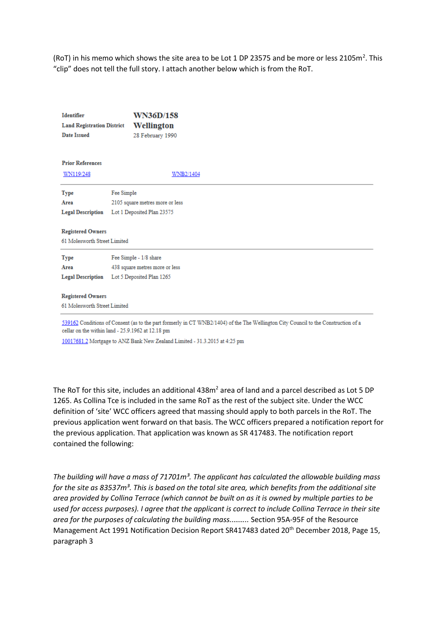(RoT) in his memo which shows the site area to be Lot 1 DP 23575 and be more or less 2105 $m^2$ . This "clip" does not tell the full story. I attach another below which is from the RoT.

| Identifier                        | <b>WN36D/158</b> |
|-----------------------------------|------------------|
| <b>Land Registration District</b> | Wellington       |
| Date Issued                       | 28 February 1990 |

## **Prior References**

| WN119/248                    | WNB2/1404                       |
|------------------------------|---------------------------------|
| <b>Type</b>                  | Fee Simple                      |
| Area                         | 2105 square metres more or less |
| <b>Legal Description</b>     | Lot 1 Deposited Plan 23575      |
| <b>Registered Owners</b>     |                                 |
| 61 Molesworth Street Limited |                                 |
| <b>Type</b>                  | Fee Simple - 1/8 share          |
| Area                         | 438 square metres more or less  |
| <b>Legal Description</b>     | Lot 5 Deposited Plan 1265       |
| <b>Registered Owners</b>     |                                 |
| 61 Molesworth Street Limited |                                 |
|                              |                                 |

539162 Conditions of Consent (as to the part formerly in CT WNB2/1404) of the The Wellington City Council to the Construction of a cellar on the within land - 25.9.1962 at 12.18 pm

10017681.2 Mortgage to ANZ Bank New Zealand Limited - 31.3.2015 at 4:25 pm

The RoT for this site, includes an additional  $438m<sup>2</sup>$  area of land and a parcel described as Lot 5 DP 1265. As Collina Tce is included in the same RoT as the rest of the subject site. Under the WCC definition of 'site' WCC officers agreed that massing should apply to both parcels in the RoT. The previous application went forward on that basis. The WCC officers prepared a notification report for the previous application. That application was known as SR 417483. The notification report contained the following:

*The building will have a mass of 71701m³. The applicant has calculated the allowable building mass for the site as 83537m³. This is based on the total site area, which benefits from the additional site area provided by Collina Terrace (which cannot be built on as it is owned by multiple parties to be used for access purposes). I agree that the applicant is correct to include Collina Terrace in their site area for the purposes of calculating the building mass..……..* Section 95A-95F of the Resource Management Act 1991 Notification Decision Report SR417483 dated 20<sup>th</sup> December 2018, Page 15, paragraph 3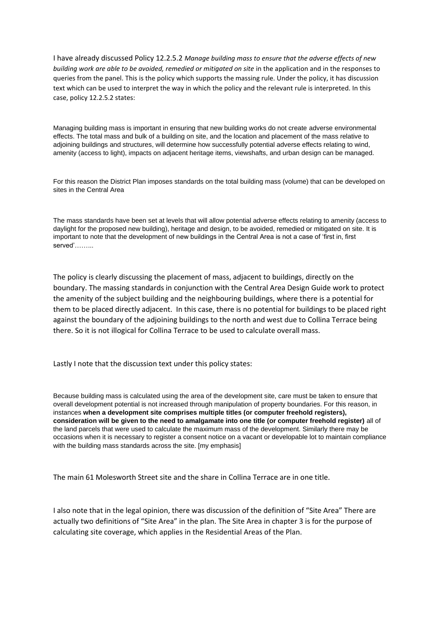I have already discussed Policy 12.2.5.2 *Manage building mass to ensure that the adverse effects of new building work are able to be avoided, remedied or mitigated on site* in the application and in the responses to queries from the panel. This is the policy which supports the massing rule. Under the policy, it has discussion text which can be used to interpret the way in which the policy and the relevant rule is interpreted. In this case, policy 12.2.5.2 states:

Managing building mass is important in ensuring that new building works do not create adverse environmental effects. The total mass and bulk of a building on site, and the location and placement of the mass relative to adjoining buildings and structures, will determine how successfully potential adverse effects relating to wind, amenity (access to light), impacts on adjacent heritage items, viewshafts, and urban design can be managed.

For this reason the District Plan imposes standards on the total building mass (volume) that can be developed on sites in the Central Area

The mass standards have been set at levels that will allow potential adverse effects relating to amenity (access to daylight for the proposed new building), heritage and design, to be avoided, remedied or mitigated on site. It is important to note that the development of new buildings in the Central Area is not a case of 'first in, first served'……...

The policy is clearly discussing the placement of mass, adjacent to buildings, directly on the boundary. The massing standards in conjunction with the Central Area Design Guide work to protect the amenity of the subject building and the neighbouring buildings, where there is a potential for them to be placed directly adjacent. In this case, there is no potential for buildings to be placed right against the boundary of the adjoining buildings to the north and west due to Collina Terrace being there. So it is not illogical for Collina Terrace to be used to calculate overall mass.

Lastly I note that the discussion text under this policy states:

Because building mass is calculated using the area of the development site, care must be taken to ensure that overall development potential is not increased through manipulation of property boundaries. For this reason, in instances **when a development site comprises multiple titles (or computer freehold registers), consideration will be given to the need to amalgamate into one title (or computer freehold register)** all of the land parcels that were used to calculate the maximum mass of the development. Similarly there may be occasions when it is necessary to register a consent notice on a vacant or developable lot to maintain compliance with the building mass standards across the site. [my emphasis]

The main 61 Molesworth Street site and the share in Collina Terrace are in one title.

I also note that in the legal opinion, there was discussion of the definition of "Site Area" There are actually two definitions of "Site Area" in the plan. The Site Area in chapter 3 is for the purpose of calculating site coverage, which applies in the Residential Areas of the Plan.